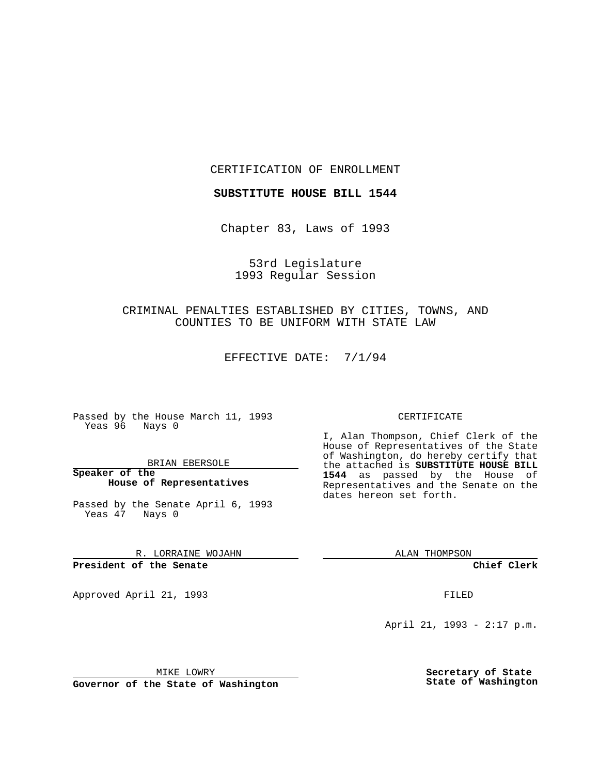CERTIFICATION OF ENROLLMENT

**SUBSTITUTE HOUSE BILL 1544**

Chapter 83, Laws of 1993

53rd Legislature 1993 Regular Session

CRIMINAL PENALTIES ESTABLISHED BY CITIES, TOWNS, AND COUNTIES TO BE UNIFORM WITH STATE LAW

EFFECTIVE DATE: 7/1/94

Passed by the House March 11, 1993 Yeas 96 Nays 0

BRIAN EBERSOLE

**Speaker of the House of Representatives**

Passed by the Senate April 6, 1993 Yeas 47 Nays 0

R. LORRAINE WOJAHN

**President of the Senate**

Approved April 21, 1993 **FILED** 

## CERTIFICATE

I, Alan Thompson, Chief Clerk of the House of Representatives of the State of Washington, do hereby certify that the attached is **SUBSTITUTE HOUSE BILL 1544** as passed by the House of Representatives and the Senate on the dates hereon set forth.

ALAN THOMPSON

**Chief Clerk**

April 21, 1993 - 2:17 p.m.

MIKE LOWRY

**Governor of the State of Washington**

**Secretary of State State of Washington**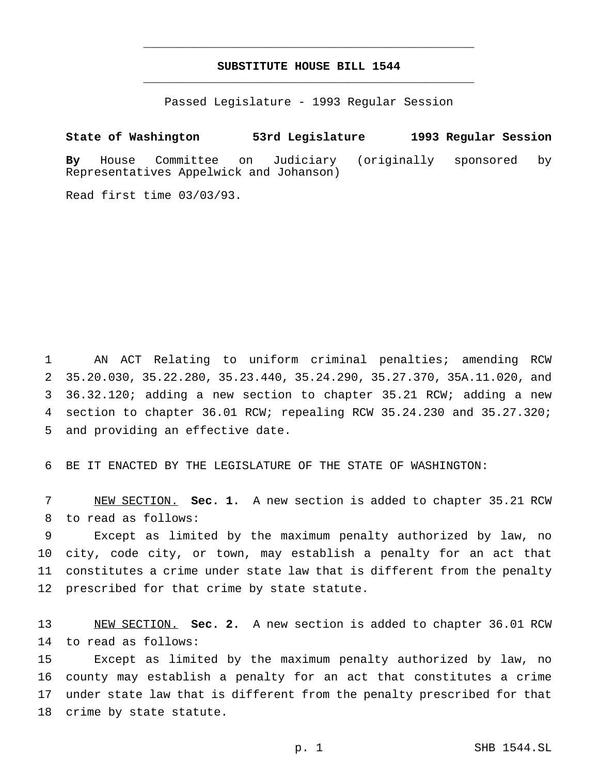## **SUBSTITUTE HOUSE BILL 1544** \_\_\_\_\_\_\_\_\_\_\_\_\_\_\_\_\_\_\_\_\_\_\_\_\_\_\_\_\_\_\_\_\_\_\_\_\_\_\_\_\_\_\_\_\_\_\_

\_\_\_\_\_\_\_\_\_\_\_\_\_\_\_\_\_\_\_\_\_\_\_\_\_\_\_\_\_\_\_\_\_\_\_\_\_\_\_\_\_\_\_\_\_\_\_

Passed Legislature - 1993 Regular Session

## **State of Washington 53rd Legislature 1993 Regular Session**

**By** House Committee on Judiciary (originally sponsored by Representatives Appelwick and Johanson)

Read first time 03/03/93.

 AN ACT Relating to uniform criminal penalties; amending RCW 35.20.030, 35.22.280, 35.23.440, 35.24.290, 35.27.370, 35A.11.020, and 36.32.120; adding a new section to chapter 35.21 RCW; adding a new section to chapter 36.01 RCW; repealing RCW 35.24.230 and 35.27.320; and providing an effective date.

6 BE IT ENACTED BY THE LEGISLATURE OF THE STATE OF WASHINGTON:

7 NEW SECTION. **Sec. 1.** A new section is added to chapter 35.21 RCW 8 to read as follows:

 Except as limited by the maximum penalty authorized by law, no city, code city, or town, may establish a penalty for an act that constitutes a crime under state law that is different from the penalty 12 prescribed for that crime by state statute.

13 NEW SECTION. **Sec. 2.** A new section is added to chapter 36.01 RCW 14 to read as follows:

 Except as limited by the maximum penalty authorized by law, no county may establish a penalty for an act that constitutes a crime under state law that is different from the penalty prescribed for that 18 crime by state statute.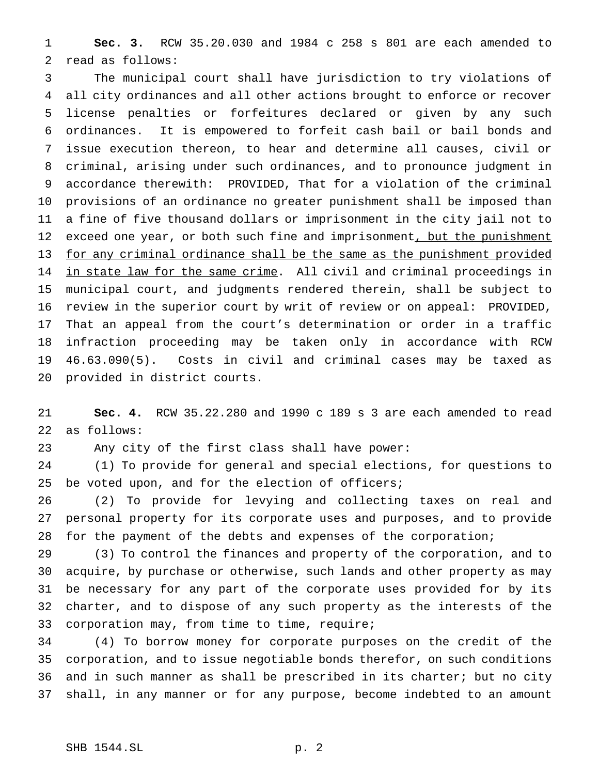**Sec. 3.** RCW 35.20.030 and 1984 c 258 s 801 are each amended to read as follows:

 The municipal court shall have jurisdiction to try violations of all city ordinances and all other actions brought to enforce or recover license penalties or forfeitures declared or given by any such ordinances. It is empowered to forfeit cash bail or bail bonds and issue execution thereon, to hear and determine all causes, civil or criminal, arising under such ordinances, and to pronounce judgment in accordance therewith: PROVIDED, That for a violation of the criminal provisions of an ordinance no greater punishment shall be imposed than a fine of five thousand dollars or imprisonment in the city jail not to 12 exceed one year, or both such fine and imprisonment, but the punishment for any criminal ordinance shall be the same as the punishment provided 14 in state law for the same crime. All civil and criminal proceedings in municipal court, and judgments rendered therein, shall be subject to review in the superior court by writ of review or on appeal: PROVIDED, That an appeal from the court's determination or order in a traffic infraction proceeding may be taken only in accordance with RCW 46.63.090(5). Costs in civil and criminal cases may be taxed as provided in district courts.

 **Sec. 4.** RCW 35.22.280 and 1990 c 189 s 3 are each amended to read as follows:

Any city of the first class shall have power:

 (1) To provide for general and special elections, for questions to 25 be voted upon, and for the election of officers;

 (2) To provide for levying and collecting taxes on real and personal property for its corporate uses and purposes, and to provide for the payment of the debts and expenses of the corporation;

 (3) To control the finances and property of the corporation, and to acquire, by purchase or otherwise, such lands and other property as may be necessary for any part of the corporate uses provided for by its charter, and to dispose of any such property as the interests of the corporation may, from time to time, require;

 (4) To borrow money for corporate purposes on the credit of the corporation, and to issue negotiable bonds therefor, on such conditions and in such manner as shall be prescribed in its charter; but no city shall, in any manner or for any purpose, become indebted to an amount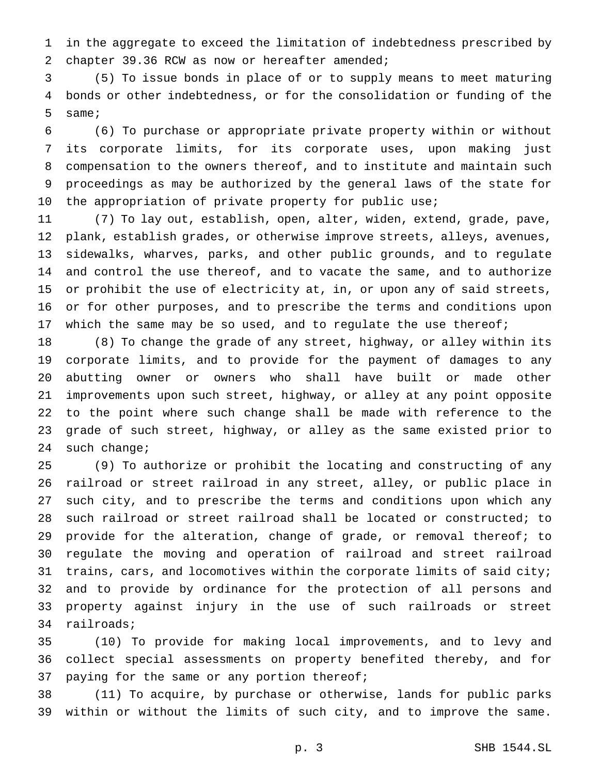in the aggregate to exceed the limitation of indebtedness prescribed by chapter 39.36 RCW as now or hereafter amended;

 (5) To issue bonds in place of or to supply means to meet maturing bonds or other indebtedness, or for the consolidation or funding of the same;

 (6) To purchase or appropriate private property within or without its corporate limits, for its corporate uses, upon making just compensation to the owners thereof, and to institute and maintain such proceedings as may be authorized by the general laws of the state for the appropriation of private property for public use;

 (7) To lay out, establish, open, alter, widen, extend, grade, pave, plank, establish grades, or otherwise improve streets, alleys, avenues, sidewalks, wharves, parks, and other public grounds, and to regulate and control the use thereof, and to vacate the same, and to authorize or prohibit the use of electricity at, in, or upon any of said streets, or for other purposes, and to prescribe the terms and conditions upon 17 which the same may be so used, and to regulate the use thereof;

 (8) To change the grade of any street, highway, or alley within its corporate limits, and to provide for the payment of damages to any abutting owner or owners who shall have built or made other improvements upon such street, highway, or alley at any point opposite to the point where such change shall be made with reference to the grade of such street, highway, or alley as the same existed prior to such change;

 (9) To authorize or prohibit the locating and constructing of any railroad or street railroad in any street, alley, or public place in such city, and to prescribe the terms and conditions upon which any such railroad or street railroad shall be located or constructed; to provide for the alteration, change of grade, or removal thereof; to regulate the moving and operation of railroad and street railroad 31 trains, cars, and locomotives within the corporate limits of said city; and to provide by ordinance for the protection of all persons and property against injury in the use of such railroads or street railroads;

 (10) To provide for making local improvements, and to levy and collect special assessments on property benefited thereby, and for paying for the same or any portion thereof;

 (11) To acquire, by purchase or otherwise, lands for public parks within or without the limits of such city, and to improve the same.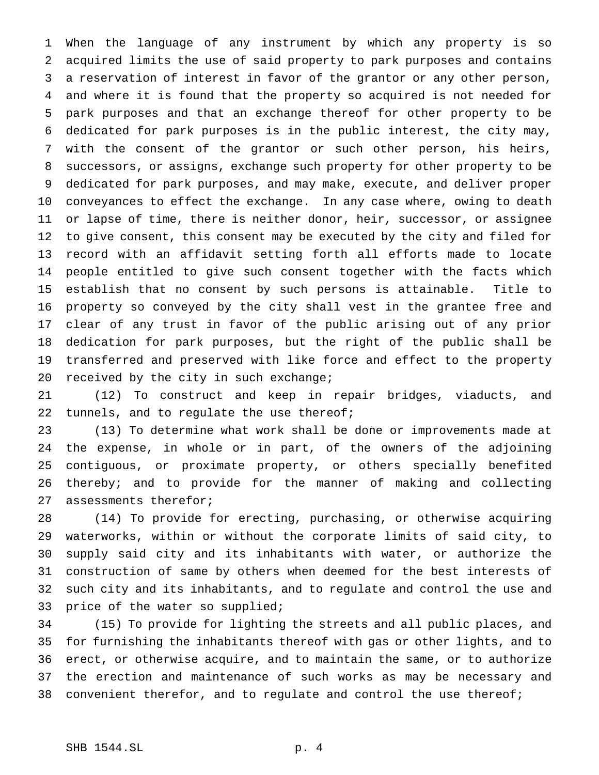When the language of any instrument by which any property is so acquired limits the use of said property to park purposes and contains a reservation of interest in favor of the grantor or any other person, and where it is found that the property so acquired is not needed for park purposes and that an exchange thereof for other property to be dedicated for park purposes is in the public interest, the city may, with the consent of the grantor or such other person, his heirs, successors, or assigns, exchange such property for other property to be dedicated for park purposes, and may make, execute, and deliver proper conveyances to effect the exchange. In any case where, owing to death or lapse of time, there is neither donor, heir, successor, or assignee to give consent, this consent may be executed by the city and filed for record with an affidavit setting forth all efforts made to locate people entitled to give such consent together with the facts which establish that no consent by such persons is attainable. Title to property so conveyed by the city shall vest in the grantee free and clear of any trust in favor of the public arising out of any prior dedication for park purposes, but the right of the public shall be transferred and preserved with like force and effect to the property 20 received by the city in such exchange;

 (12) To construct and keep in repair bridges, viaducts, and tunnels, and to regulate the use thereof;

 (13) To determine what work shall be done or improvements made at the expense, in whole or in part, of the owners of the adjoining contiguous, or proximate property, or others specially benefited thereby; and to provide for the manner of making and collecting assessments therefor;

 (14) To provide for erecting, purchasing, or otherwise acquiring waterworks, within or without the corporate limits of said city, to supply said city and its inhabitants with water, or authorize the construction of same by others when deemed for the best interests of such city and its inhabitants, and to regulate and control the use and price of the water so supplied;

 (15) To provide for lighting the streets and all public places, and for furnishing the inhabitants thereof with gas or other lights, and to erect, or otherwise acquire, and to maintain the same, or to authorize the erection and maintenance of such works as may be necessary and 38 convenient therefor, and to regulate and control the use thereof;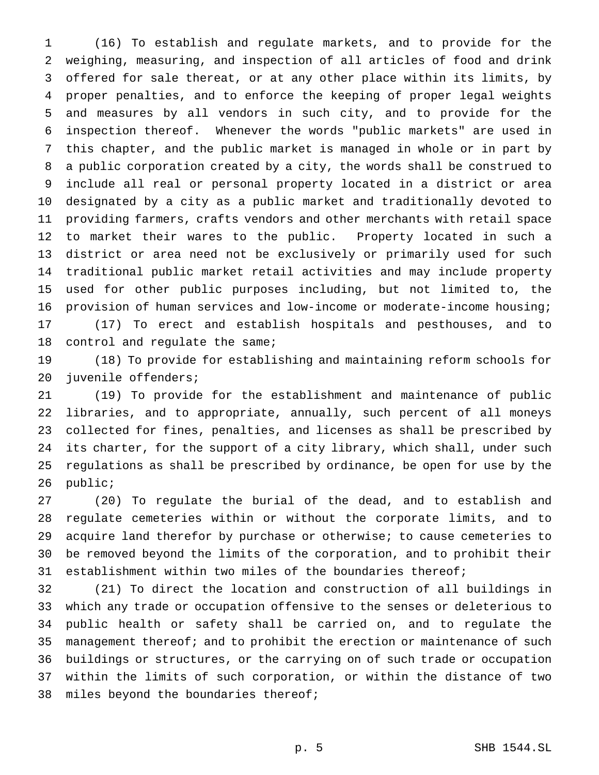(16) To establish and regulate markets, and to provide for the weighing, measuring, and inspection of all articles of food and drink offered for sale thereat, or at any other place within its limits, by proper penalties, and to enforce the keeping of proper legal weights and measures by all vendors in such city, and to provide for the inspection thereof. Whenever the words "public markets" are used in this chapter, and the public market is managed in whole or in part by a public corporation created by a city, the words shall be construed to include all real or personal property located in a district or area designated by a city as a public market and traditionally devoted to providing farmers, crafts vendors and other merchants with retail space to market their wares to the public. Property located in such a district or area need not be exclusively or primarily used for such traditional public market retail activities and may include property used for other public purposes including, but not limited to, the provision of human services and low-income or moderate-income housing; (17) To erect and establish hospitals and pesthouses, and to control and regulate the same;

 (18) To provide for establishing and maintaining reform schools for juvenile offenders;

 (19) To provide for the establishment and maintenance of public libraries, and to appropriate, annually, such percent of all moneys collected for fines, penalties, and licenses as shall be prescribed by its charter, for the support of a city library, which shall, under such regulations as shall be prescribed by ordinance, be open for use by the public;

 (20) To regulate the burial of the dead, and to establish and regulate cemeteries within or without the corporate limits, and to acquire land therefor by purchase or otherwise; to cause cemeteries to be removed beyond the limits of the corporation, and to prohibit their establishment within two miles of the boundaries thereof;

 (21) To direct the location and construction of all buildings in which any trade or occupation offensive to the senses or deleterious to public health or safety shall be carried on, and to regulate the management thereof; and to prohibit the erection or maintenance of such buildings or structures, or the carrying on of such trade or occupation within the limits of such corporation, or within the distance of two miles beyond the boundaries thereof;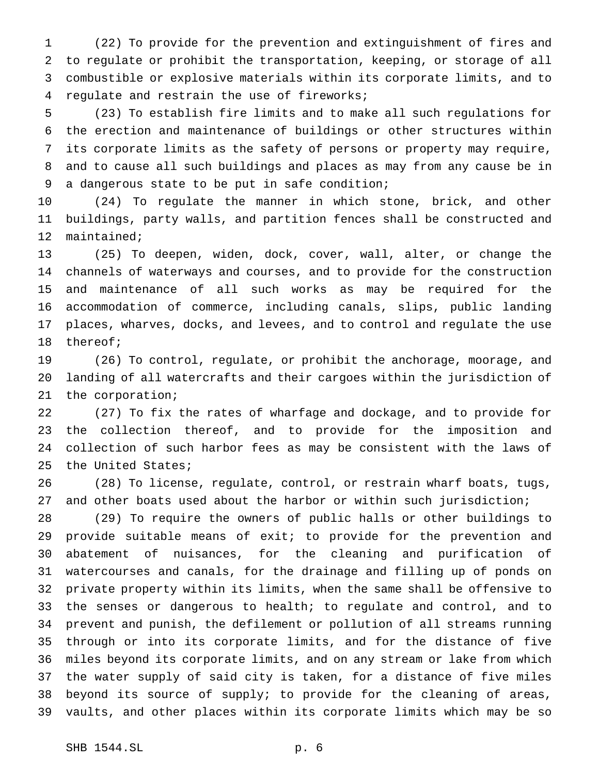(22) To provide for the prevention and extinguishment of fires and to regulate or prohibit the transportation, keeping, or storage of all combustible or explosive materials within its corporate limits, and to regulate and restrain the use of fireworks;

 (23) To establish fire limits and to make all such regulations for the erection and maintenance of buildings or other structures within its corporate limits as the safety of persons or property may require, and to cause all such buildings and places as may from any cause be in a dangerous state to be put in safe condition;

 (24) To regulate the manner in which stone, brick, and other buildings, party walls, and partition fences shall be constructed and maintained;

 (25) To deepen, widen, dock, cover, wall, alter, or change the channels of waterways and courses, and to provide for the construction and maintenance of all such works as may be required for the accommodation of commerce, including canals, slips, public landing places, wharves, docks, and levees, and to control and regulate the use thereof;

 (26) To control, regulate, or prohibit the anchorage, moorage, and landing of all watercrafts and their cargoes within the jurisdiction of the corporation;

 (27) To fix the rates of wharfage and dockage, and to provide for the collection thereof, and to provide for the imposition and collection of such harbor fees as may be consistent with the laws of the United States;

 (28) To license, regulate, control, or restrain wharf boats, tugs, and other boats used about the harbor or within such jurisdiction;

 (29) To require the owners of public halls or other buildings to provide suitable means of exit; to provide for the prevention and abatement of nuisances, for the cleaning and purification of watercourses and canals, for the drainage and filling up of ponds on private property within its limits, when the same shall be offensive to the senses or dangerous to health; to regulate and control, and to prevent and punish, the defilement or pollution of all streams running through or into its corporate limits, and for the distance of five miles beyond its corporate limits, and on any stream or lake from which the water supply of said city is taken, for a distance of five miles beyond its source of supply; to provide for the cleaning of areas, vaults, and other places within its corporate limits which may be so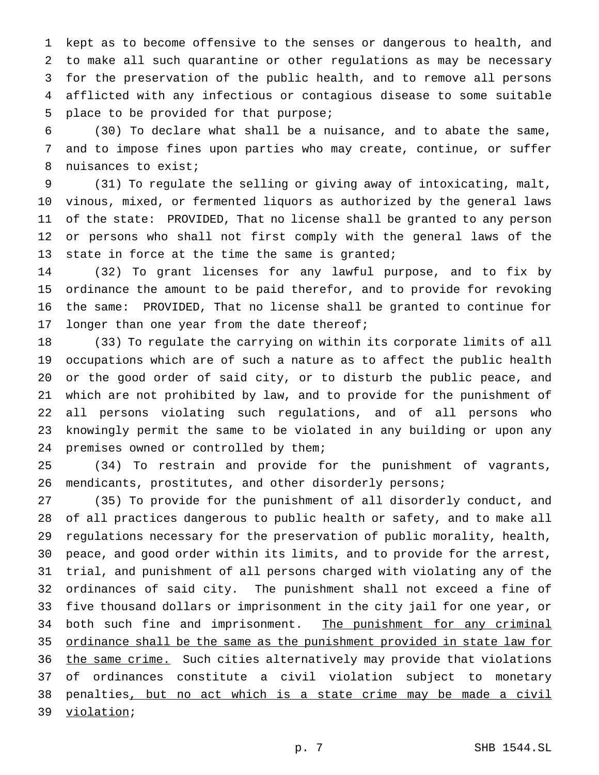kept as to become offensive to the senses or dangerous to health, and to make all such quarantine or other regulations as may be necessary for the preservation of the public health, and to remove all persons afflicted with any infectious or contagious disease to some suitable place to be provided for that purpose;

 (30) To declare what shall be a nuisance, and to abate the same, and to impose fines upon parties who may create, continue, or suffer nuisances to exist;

 (31) To regulate the selling or giving away of intoxicating, malt, vinous, mixed, or fermented liquors as authorized by the general laws of the state: PROVIDED, That no license shall be granted to any person or persons who shall not first comply with the general laws of the 13 state in force at the time the same is granted;

 (32) To grant licenses for any lawful purpose, and to fix by ordinance the amount to be paid therefor, and to provide for revoking the same: PROVIDED, That no license shall be granted to continue for 17 longer than one year from the date thereof;

 (33) To regulate the carrying on within its corporate limits of all occupations which are of such a nature as to affect the public health or the good order of said city, or to disturb the public peace, and which are not prohibited by law, and to provide for the punishment of all persons violating such regulations, and of all persons who knowingly permit the same to be violated in any building or upon any premises owned or controlled by them;

 (34) To restrain and provide for the punishment of vagrants, mendicants, prostitutes, and other disorderly persons;

 (35) To provide for the punishment of all disorderly conduct, and of all practices dangerous to public health or safety, and to make all regulations necessary for the preservation of public morality, health, peace, and good order within its limits, and to provide for the arrest, trial, and punishment of all persons charged with violating any of the ordinances of said city. The punishment shall not exceed a fine of five thousand dollars or imprisonment in the city jail for one year, or 34 both such fine and imprisonment. The punishment for any criminal ordinance shall be the same as the punishment provided in state law for 36 the same crime. Such cities alternatively may provide that violations of ordinances constitute a civil violation subject to monetary penalties, but no act which is a state crime may be made a civil violation;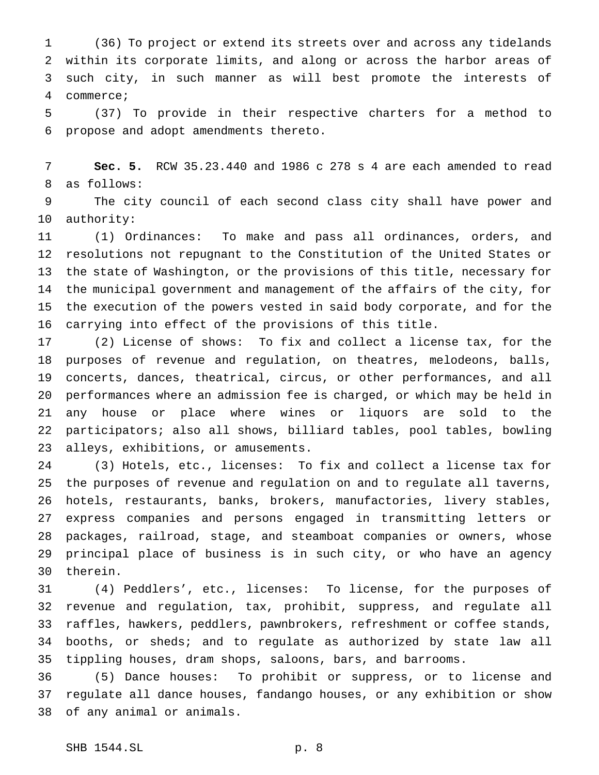(36) To project or extend its streets over and across any tidelands within its corporate limits, and along or across the harbor areas of such city, in such manner as will best promote the interests of commerce;

 (37) To provide in their respective charters for a method to propose and adopt amendments thereto.

 **Sec. 5.** RCW 35.23.440 and 1986 c 278 s 4 are each amended to read as follows:

 The city council of each second class city shall have power and authority:

 (1) Ordinances: To make and pass all ordinances, orders, and resolutions not repugnant to the Constitution of the United States or the state of Washington, or the provisions of this title, necessary for the municipal government and management of the affairs of the city, for the execution of the powers vested in said body corporate, and for the carrying into effect of the provisions of this title.

 (2) License of shows: To fix and collect a license tax, for the purposes of revenue and regulation, on theatres, melodeons, balls, concerts, dances, theatrical, circus, or other performances, and all performances where an admission fee is charged, or which may be held in any house or place where wines or liquors are sold to the participators; also all shows, billiard tables, pool tables, bowling alleys, exhibitions, or amusements.

 (3) Hotels, etc., licenses: To fix and collect a license tax for the purposes of revenue and regulation on and to regulate all taverns, hotels, restaurants, banks, brokers, manufactories, livery stables, express companies and persons engaged in transmitting letters or packages, railroad, stage, and steamboat companies or owners, whose principal place of business is in such city, or who have an agency therein.

 (4) Peddlers', etc., licenses: To license, for the purposes of revenue and regulation, tax, prohibit, suppress, and regulate all raffles, hawkers, peddlers, pawnbrokers, refreshment or coffee stands, booths, or sheds; and to regulate as authorized by state law all tippling houses, dram shops, saloons, bars, and barrooms.

 (5) Dance houses: To prohibit or suppress, or to license and regulate all dance houses, fandango houses, or any exhibition or show of any animal or animals.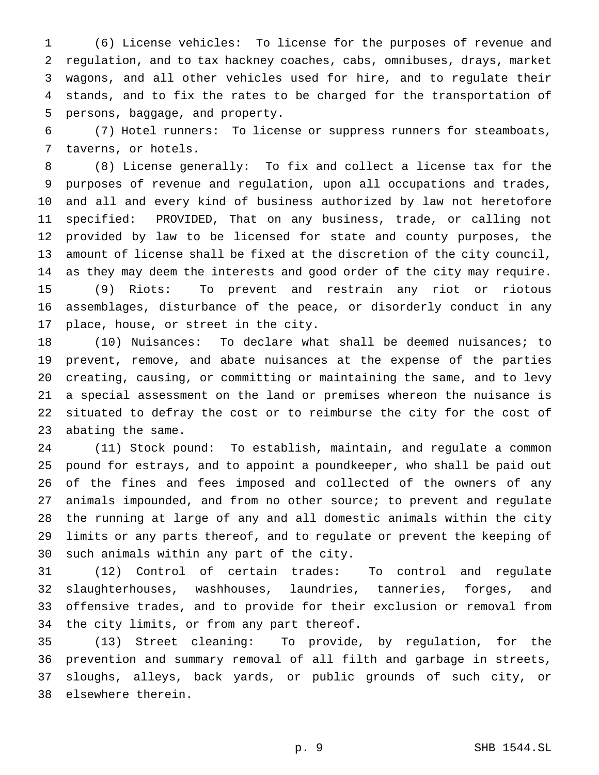(6) License vehicles: To license for the purposes of revenue and regulation, and to tax hackney coaches, cabs, omnibuses, drays, market wagons, and all other vehicles used for hire, and to regulate their stands, and to fix the rates to be charged for the transportation of persons, baggage, and property.

 (7) Hotel runners: To license or suppress runners for steamboats, taverns, or hotels.

 (8) License generally: To fix and collect a license tax for the purposes of revenue and regulation, upon all occupations and trades, and all and every kind of business authorized by law not heretofore specified: PROVIDED, That on any business, trade, or calling not provided by law to be licensed for state and county purposes, the amount of license shall be fixed at the discretion of the city council, as they may deem the interests and good order of the city may require. (9) Riots: To prevent and restrain any riot or riotous assemblages, disturbance of the peace, or disorderly conduct in any place, house, or street in the city.

 (10) Nuisances: To declare what shall be deemed nuisances; to prevent, remove, and abate nuisances at the expense of the parties creating, causing, or committing or maintaining the same, and to levy a special assessment on the land or premises whereon the nuisance is situated to defray the cost or to reimburse the city for the cost of abating the same.

 (11) Stock pound: To establish, maintain, and regulate a common pound for estrays, and to appoint a poundkeeper, who shall be paid out of the fines and fees imposed and collected of the owners of any animals impounded, and from no other source; to prevent and regulate the running at large of any and all domestic animals within the city limits or any parts thereof, and to regulate or prevent the keeping of such animals within any part of the city.

 (12) Control of certain trades: To control and regulate slaughterhouses, washhouses, laundries, tanneries, forges, and offensive trades, and to provide for their exclusion or removal from the city limits, or from any part thereof.

 (13) Street cleaning: To provide, by regulation, for the prevention and summary removal of all filth and garbage in streets, sloughs, alleys, back yards, or public grounds of such city, or elsewhere therein.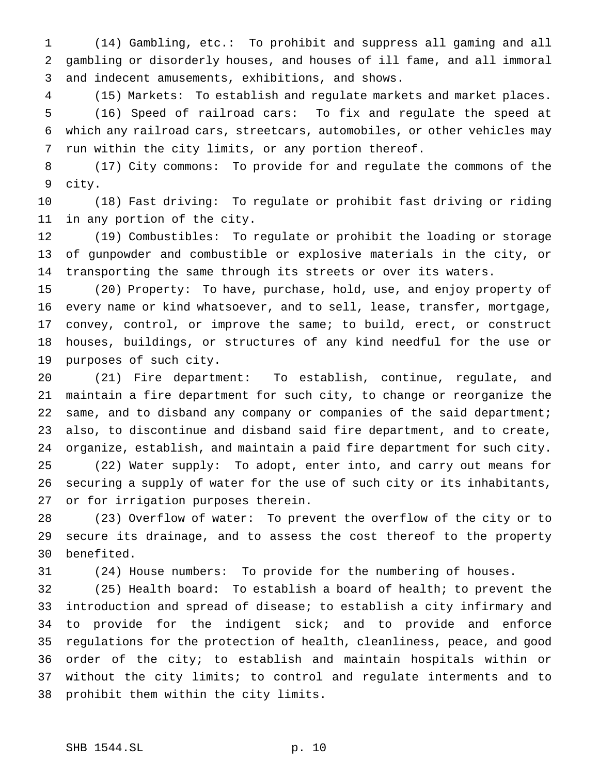(14) Gambling, etc.: To prohibit and suppress all gaming and all gambling or disorderly houses, and houses of ill fame, and all immoral and indecent amusements, exhibitions, and shows.

 (15) Markets: To establish and regulate markets and market places. (16) Speed of railroad cars: To fix and regulate the speed at which any railroad cars, streetcars, automobiles, or other vehicles may run within the city limits, or any portion thereof.

 (17) City commons: To provide for and regulate the commons of the city.

 (18) Fast driving: To regulate or prohibit fast driving or riding in any portion of the city.

 (19) Combustibles: To regulate or prohibit the loading or storage of gunpowder and combustible or explosive materials in the city, or transporting the same through its streets or over its waters.

 (20) Property: To have, purchase, hold, use, and enjoy property of every name or kind whatsoever, and to sell, lease, transfer, mortgage, convey, control, or improve the same; to build, erect, or construct houses, buildings, or structures of any kind needful for the use or purposes of such city.

 (21) Fire department: To establish, continue, regulate, and maintain a fire department for such city, to change or reorganize the same, and to disband any company or companies of the said department; also, to discontinue and disband said fire department, and to create, organize, establish, and maintain a paid fire department for such city. (22) Water supply: To adopt, enter into, and carry out means for securing a supply of water for the use of such city or its inhabitants, or for irrigation purposes therein.

 (23) Overflow of water: To prevent the overflow of the city or to secure its drainage, and to assess the cost thereof to the property benefited.

(24) House numbers: To provide for the numbering of houses.

 (25) Health board: To establish a board of health; to prevent the introduction and spread of disease; to establish a city infirmary and to provide for the indigent sick; and to provide and enforce regulations for the protection of health, cleanliness, peace, and good order of the city; to establish and maintain hospitals within or without the city limits; to control and regulate interments and to prohibit them within the city limits.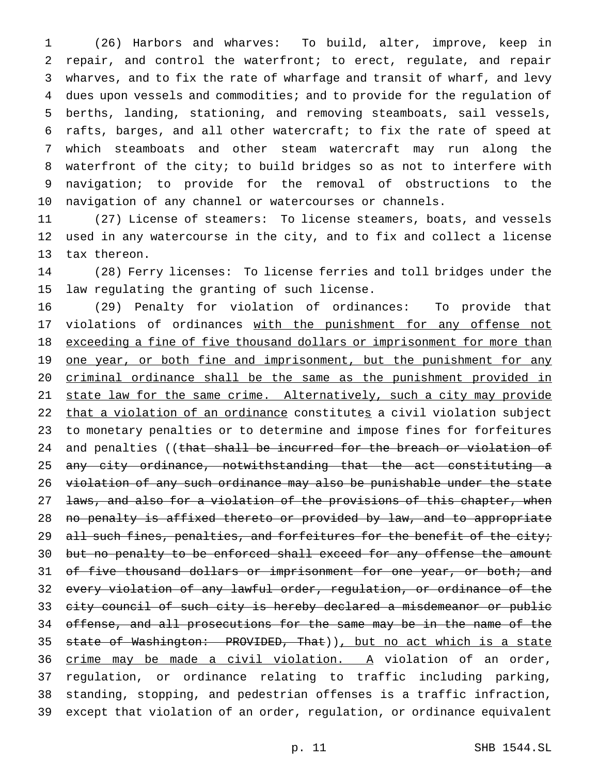(26) Harbors and wharves: To build, alter, improve, keep in repair, and control the waterfront; to erect, regulate, and repair wharves, and to fix the rate of wharfage and transit of wharf, and levy dues upon vessels and commodities; and to provide for the regulation of berths, landing, stationing, and removing steamboats, sail vessels, rafts, barges, and all other watercraft; to fix the rate of speed at which steamboats and other steam watercraft may run along the waterfront of the city; to build bridges so as not to interfere with navigation; to provide for the removal of obstructions to the navigation of any channel or watercourses or channels.

 (27) License of steamers: To license steamers, boats, and vessels used in any watercourse in the city, and to fix and collect a license tax thereon.

 (28) Ferry licenses: To license ferries and toll bridges under the law regulating the granting of such license.

 (29) Penalty for violation of ordinances: To provide that 17 violations of ordinances with the punishment for any offense not 18 exceeding a fine of five thousand dollars or imprisonment for more than 19 one year, or both fine and imprisonment, but the punishment for any criminal ordinance shall be the same as the punishment provided in 21 state law for the same crime. Alternatively, such a city may provide 22 that a violation of an ordinance constitutes a civil violation subject to monetary penalties or to determine and impose fines for forfeitures 24 and penalties ((that shall be incurred for the breach or violation of 25 any city ordinance, notwithstanding that the act constituting a violation of any such ordinance may also be punishable under the state 27 laws, and also for a violation of the provisions of this chapter, when no penalty is affixed thereto or provided by law, and to appropriate 29 all such fines, penalties, and forfeitures for the benefit of the city; 30 but no penalty to be enforced shall exceed for any offense the amount 31 of five thousand dollars or imprisonment for one year, or both; and every violation of any lawful order, regulation, or ordinance of the city council of such city is hereby declared a misdemeanor or public offense, and all prosecutions for the same may be in the name of the 35 state of Washington: PROVIDED, That)), but no act which is a state 36 crime may be made a civil violation. A violation of an order, regulation, or ordinance relating to traffic including parking, standing, stopping, and pedestrian offenses is a traffic infraction, except that violation of an order, regulation, or ordinance equivalent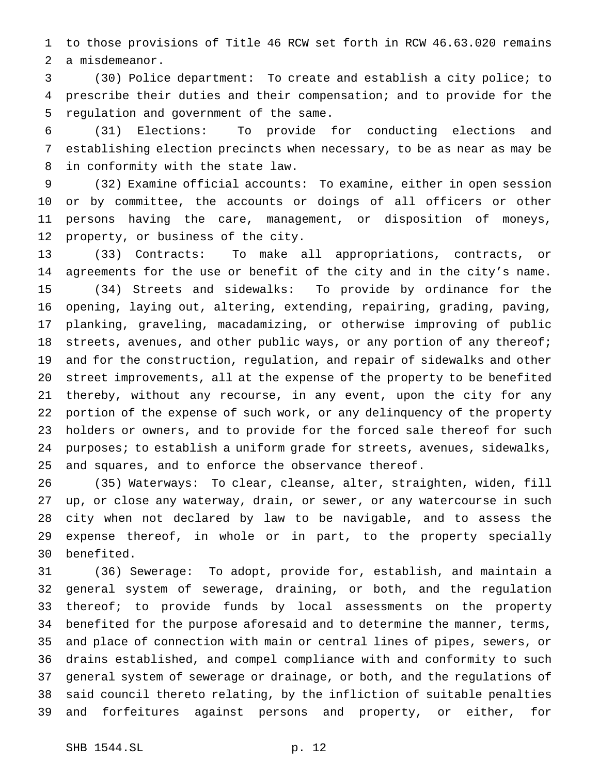to those provisions of Title 46 RCW set forth in RCW 46.63.020 remains a misdemeanor.

 (30) Police department: To create and establish a city police; to prescribe their duties and their compensation; and to provide for the regulation and government of the same.

 (31) Elections: To provide for conducting elections and establishing election precincts when necessary, to be as near as may be in conformity with the state law.

 (32) Examine official accounts: To examine, either in open session or by committee, the accounts or doings of all officers or other persons having the care, management, or disposition of moneys, property, or business of the city.

 (33) Contracts: To make all appropriations, contracts, or agreements for the use or benefit of the city and in the city's name. (34) Streets and sidewalks: To provide by ordinance for the opening, laying out, altering, extending, repairing, grading, paving, planking, graveling, macadamizing, or otherwise improving of public 18 streets, avenues, and other public ways, or any portion of any thereof; and for the construction, regulation, and repair of sidewalks and other street improvements, all at the expense of the property to be benefited thereby, without any recourse, in any event, upon the city for any portion of the expense of such work, or any delinquency of the property holders or owners, and to provide for the forced sale thereof for such 24 purposes; to establish a uniform grade for streets, avenues, sidewalks, and squares, and to enforce the observance thereof.

 (35) Waterways: To clear, cleanse, alter, straighten, widen, fill up, or close any waterway, drain, or sewer, or any watercourse in such city when not declared by law to be navigable, and to assess the expense thereof, in whole or in part, to the property specially benefited.

 (36) Sewerage: To adopt, provide for, establish, and maintain a general system of sewerage, draining, or both, and the regulation thereof; to provide funds by local assessments on the property benefited for the purpose aforesaid and to determine the manner, terms, and place of connection with main or central lines of pipes, sewers, or drains established, and compel compliance with and conformity to such general system of sewerage or drainage, or both, and the regulations of said council thereto relating, by the infliction of suitable penalties and forfeitures against persons and property, or either, for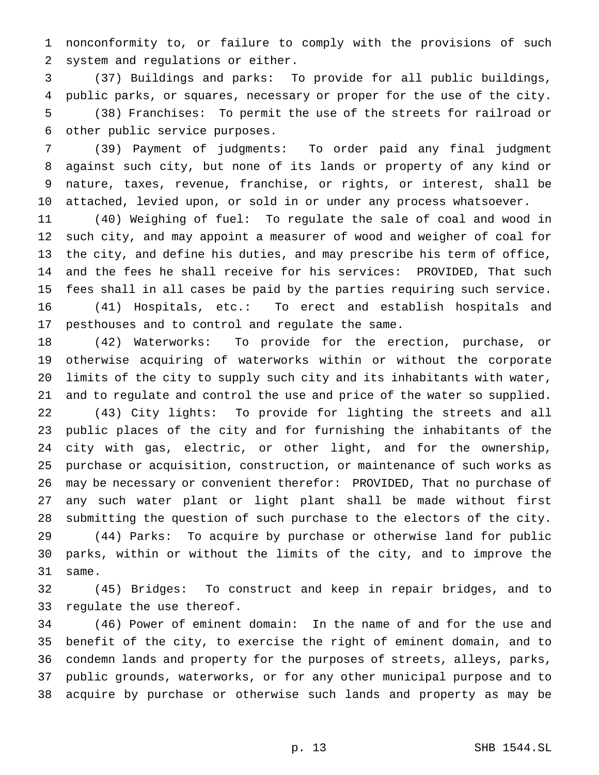nonconformity to, or failure to comply with the provisions of such system and regulations or either.

 (37) Buildings and parks: To provide for all public buildings, public parks, or squares, necessary or proper for the use of the city. (38) Franchises: To permit the use of the streets for railroad or other public service purposes.

 (39) Payment of judgments: To order paid any final judgment against such city, but none of its lands or property of any kind or nature, taxes, revenue, franchise, or rights, or interest, shall be attached, levied upon, or sold in or under any process whatsoever.

 (40) Weighing of fuel: To regulate the sale of coal and wood in such city, and may appoint a measurer of wood and weigher of coal for the city, and define his duties, and may prescribe his term of office, and the fees he shall receive for his services: PROVIDED, That such fees shall in all cases be paid by the parties requiring such service. (41) Hospitals, etc.: To erect and establish hospitals and pesthouses and to control and regulate the same.

 (42) Waterworks: To provide for the erection, purchase, or otherwise acquiring of waterworks within or without the corporate limits of the city to supply such city and its inhabitants with water, and to regulate and control the use and price of the water so supplied.

 (43) City lights: To provide for lighting the streets and all public places of the city and for furnishing the inhabitants of the city with gas, electric, or other light, and for the ownership, purchase or acquisition, construction, or maintenance of such works as may be necessary or convenient therefor: PROVIDED, That no purchase of any such water plant or light plant shall be made without first submitting the question of such purchase to the electors of the city. (44) Parks: To acquire by purchase or otherwise land for public

 parks, within or without the limits of the city, and to improve the same.

 (45) Bridges: To construct and keep in repair bridges, and to regulate the use thereof.

 (46) Power of eminent domain: In the name of and for the use and benefit of the city, to exercise the right of eminent domain, and to condemn lands and property for the purposes of streets, alleys, parks, public grounds, waterworks, or for any other municipal purpose and to acquire by purchase or otherwise such lands and property as may be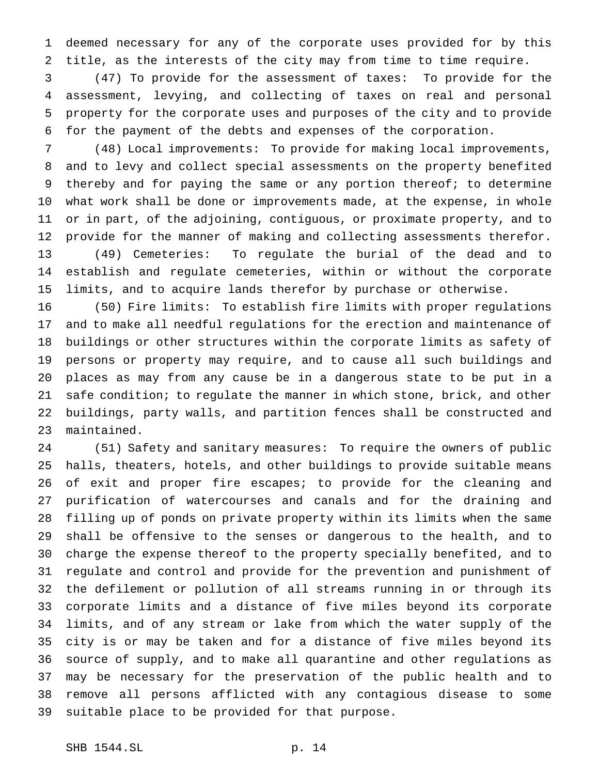deemed necessary for any of the corporate uses provided for by this title, as the interests of the city may from time to time require.

 (47) To provide for the assessment of taxes: To provide for the assessment, levying, and collecting of taxes on real and personal property for the corporate uses and purposes of the city and to provide for the payment of the debts and expenses of the corporation.

 (48) Local improvements: To provide for making local improvements, and to levy and collect special assessments on the property benefited thereby and for paying the same or any portion thereof; to determine what work shall be done or improvements made, at the expense, in whole or in part, of the adjoining, contiguous, or proximate property, and to provide for the manner of making and collecting assessments therefor. (49) Cemeteries: To regulate the burial of the dead and to establish and regulate cemeteries, within or without the corporate limits, and to acquire lands therefor by purchase or otherwise.

 (50) Fire limits: To establish fire limits with proper regulations and to make all needful regulations for the erection and maintenance of buildings or other structures within the corporate limits as safety of persons or property may require, and to cause all such buildings and places as may from any cause be in a dangerous state to be put in a safe condition; to regulate the manner in which stone, brick, and other buildings, party walls, and partition fences shall be constructed and maintained.

 (51) Safety and sanitary measures: To require the owners of public halls, theaters, hotels, and other buildings to provide suitable means 26 of exit and proper fire escapes; to provide for the cleaning and purification of watercourses and canals and for the draining and filling up of ponds on private property within its limits when the same shall be offensive to the senses or dangerous to the health, and to charge the expense thereof to the property specially benefited, and to regulate and control and provide for the prevention and punishment of the defilement or pollution of all streams running in or through its corporate limits and a distance of five miles beyond its corporate limits, and of any stream or lake from which the water supply of the city is or may be taken and for a distance of five miles beyond its source of supply, and to make all quarantine and other regulations as may be necessary for the preservation of the public health and to remove all persons afflicted with any contagious disease to some suitable place to be provided for that purpose.

$$
p. 14
$$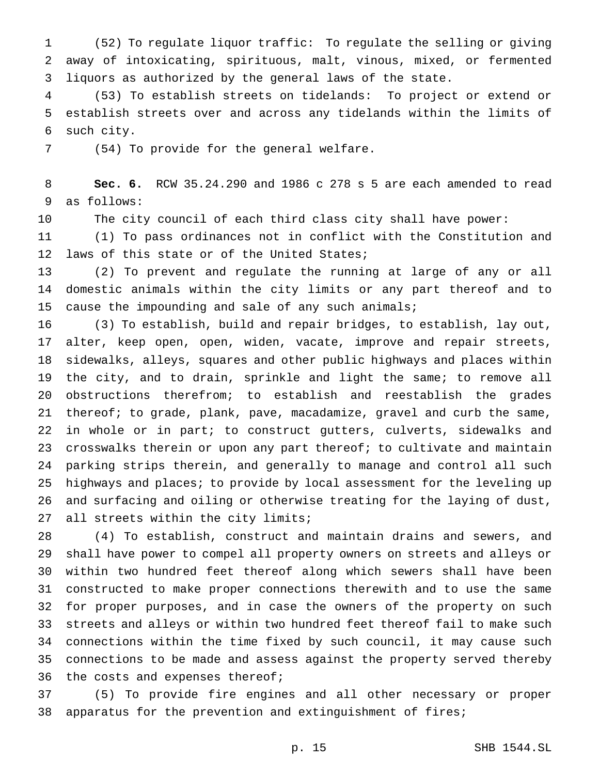(52) To regulate liquor traffic: To regulate the selling or giving away of intoxicating, spirituous, malt, vinous, mixed, or fermented liquors as authorized by the general laws of the state.

 (53) To establish streets on tidelands: To project or extend or establish streets over and across any tidelands within the limits of such city.

(54) To provide for the general welfare.

 **Sec. 6.** RCW 35.24.290 and 1986 c 278 s 5 are each amended to read as follows:

The city council of each third class city shall have power:

 (1) To pass ordinances not in conflict with the Constitution and laws of this state or of the United States;

 (2) To prevent and regulate the running at large of any or all domestic animals within the city limits or any part thereof and to cause the impounding and sale of any such animals;

 (3) To establish, build and repair bridges, to establish, lay out, alter, keep open, open, widen, vacate, improve and repair streets, sidewalks, alleys, squares and other public highways and places within the city, and to drain, sprinkle and light the same; to remove all obstructions therefrom; to establish and reestablish the grades 21 thereof; to grade, plank, pave, macadamize, gravel and curb the same, in whole or in part; to construct gutters, culverts, sidewalks and crosswalks therein or upon any part thereof; to cultivate and maintain parking strips therein, and generally to manage and control all such highways and places; to provide by local assessment for the leveling up and surfacing and oiling or otherwise treating for the laying of dust, all streets within the city limits;

 (4) To establish, construct and maintain drains and sewers, and shall have power to compel all property owners on streets and alleys or within two hundred feet thereof along which sewers shall have been constructed to make proper connections therewith and to use the same for proper purposes, and in case the owners of the property on such streets and alleys or within two hundred feet thereof fail to make such connections within the time fixed by such council, it may cause such connections to be made and assess against the property served thereby the costs and expenses thereof;

 (5) To provide fire engines and all other necessary or proper apparatus for the prevention and extinguishment of fires;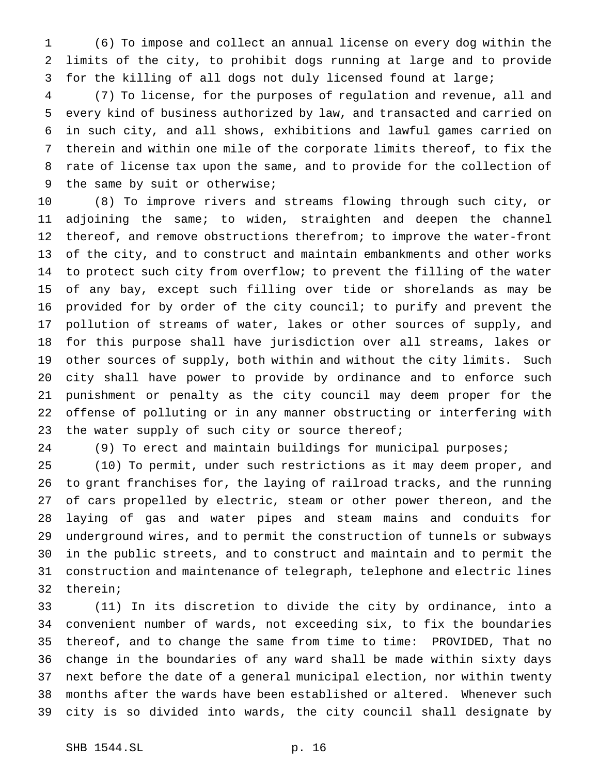(6) To impose and collect an annual license on every dog within the limits of the city, to prohibit dogs running at large and to provide for the killing of all dogs not duly licensed found at large;

 (7) To license, for the purposes of regulation and revenue, all and every kind of business authorized by law, and transacted and carried on in such city, and all shows, exhibitions and lawful games carried on therein and within one mile of the corporate limits thereof, to fix the rate of license tax upon the same, and to provide for the collection of the same by suit or otherwise;

 (8) To improve rivers and streams flowing through such city, or adjoining the same; to widen, straighten and deepen the channel thereof, and remove obstructions therefrom; to improve the water-front of the city, and to construct and maintain embankments and other works to protect such city from overflow; to prevent the filling of the water of any bay, except such filling over tide or shorelands as may be provided for by order of the city council; to purify and prevent the pollution of streams of water, lakes or other sources of supply, and for this purpose shall have jurisdiction over all streams, lakes or other sources of supply, both within and without the city limits. Such city shall have power to provide by ordinance and to enforce such punishment or penalty as the city council may deem proper for the offense of polluting or in any manner obstructing or interfering with 23 the water supply of such city or source thereof;

(9) To erect and maintain buildings for municipal purposes;

 (10) To permit, under such restrictions as it may deem proper, and to grant franchises for, the laying of railroad tracks, and the running of cars propelled by electric, steam or other power thereon, and the laying of gas and water pipes and steam mains and conduits for underground wires, and to permit the construction of tunnels or subways in the public streets, and to construct and maintain and to permit the construction and maintenance of telegraph, telephone and electric lines therein;

 (11) In its discretion to divide the city by ordinance, into a convenient number of wards, not exceeding six, to fix the boundaries thereof, and to change the same from time to time: PROVIDED, That no change in the boundaries of any ward shall be made within sixty days next before the date of a general municipal election, nor within twenty months after the wards have been established or altered. Whenever such city is so divided into wards, the city council shall designate by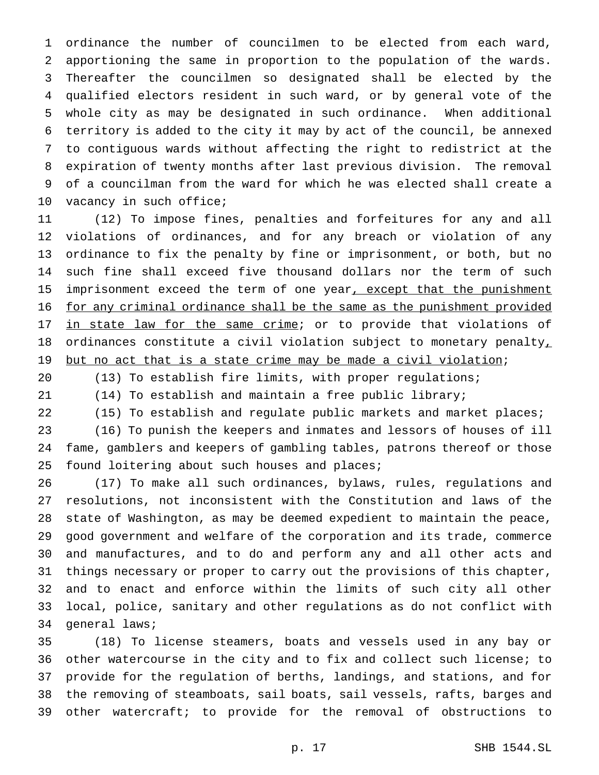ordinance the number of councilmen to be elected from each ward, apportioning the same in proportion to the population of the wards. Thereafter the councilmen so designated shall be elected by the qualified electors resident in such ward, or by general vote of the whole city as may be designated in such ordinance. When additional territory is added to the city it may by act of the council, be annexed to contiguous wards without affecting the right to redistrict at the expiration of twenty months after last previous division. The removal of a councilman from the ward for which he was elected shall create a 10 vacancy in such office;

 (12) To impose fines, penalties and forfeitures for any and all violations of ordinances, and for any breach or violation of any ordinance to fix the penalty by fine or imprisonment, or both, but no such fine shall exceed five thousand dollars nor the term of such 15 imprisonment exceed the term of one year, except that the punishment for any criminal ordinance shall be the same as the punishment provided 17 in state law for the same crime; or to provide that violations of 18 ordinances constitute a civil violation subject to monetary penalty, 19 but no act that is a state crime may be made a civil violation;

(13) To establish fire limits, with proper regulations;

(14) To establish and maintain a free public library;

22 (15) To establish and regulate public markets and market places;

 (16) To punish the keepers and inmates and lessors of houses of ill fame, gamblers and keepers of gambling tables, patrons thereof or those 25 found loitering about such houses and places;

 (17) To make all such ordinances, bylaws, rules, regulations and resolutions, not inconsistent with the Constitution and laws of the state of Washington, as may be deemed expedient to maintain the peace, good government and welfare of the corporation and its trade, commerce and manufactures, and to do and perform any and all other acts and things necessary or proper to carry out the provisions of this chapter, and to enact and enforce within the limits of such city all other local, police, sanitary and other regulations as do not conflict with general laws;

 (18) To license steamers, boats and vessels used in any bay or other watercourse in the city and to fix and collect such license; to provide for the regulation of berths, landings, and stations, and for the removing of steamboats, sail boats, sail vessels, rafts, barges and other watercraft; to provide for the removal of obstructions to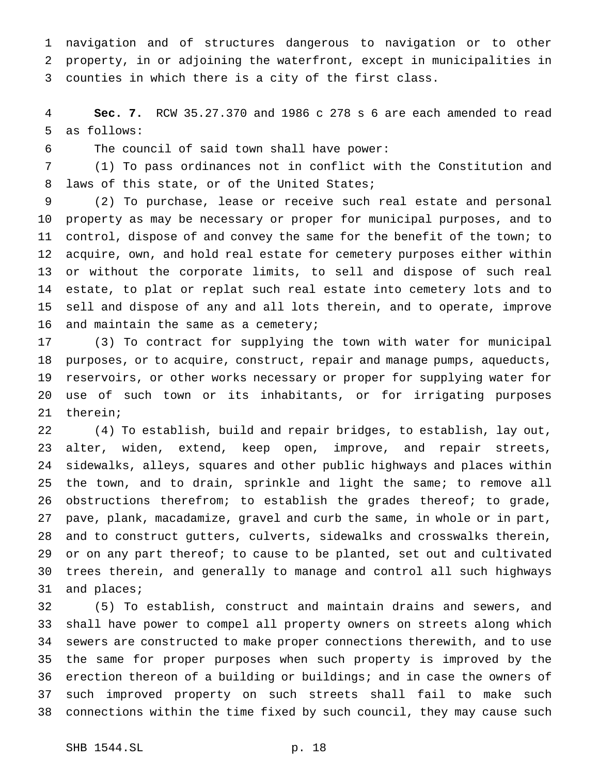navigation and of structures dangerous to navigation or to other property, in or adjoining the waterfront, except in municipalities in counties in which there is a city of the first class.

 **Sec. 7.** RCW 35.27.370 and 1986 c 278 s 6 are each amended to read as follows:

The council of said town shall have power:

 (1) To pass ordinances not in conflict with the Constitution and laws of this state, or of the United States;

 (2) To purchase, lease or receive such real estate and personal property as may be necessary or proper for municipal purposes, and to control, dispose of and convey the same for the benefit of the town; to acquire, own, and hold real estate for cemetery purposes either within or without the corporate limits, to sell and dispose of such real estate, to plat or replat such real estate into cemetery lots and to sell and dispose of any and all lots therein, and to operate, improve 16 and maintain the same as a cemetery;

 (3) To contract for supplying the town with water for municipal purposes, or to acquire, construct, repair and manage pumps, aqueducts, reservoirs, or other works necessary or proper for supplying water for use of such town or its inhabitants, or for irrigating purposes therein;

 (4) To establish, build and repair bridges, to establish, lay out, alter, widen, extend, keep open, improve, and repair streets, sidewalks, alleys, squares and other public highways and places within the town, and to drain, sprinkle and light the same; to remove all 26 obstructions therefrom; to establish the grades thereof; to grade, pave, plank, macadamize, gravel and curb the same, in whole or in part, and to construct gutters, culverts, sidewalks and crosswalks therein, 29 or on any part thereof; to cause to be planted, set out and cultivated trees therein, and generally to manage and control all such highways and places;

 (5) To establish, construct and maintain drains and sewers, and shall have power to compel all property owners on streets along which sewers are constructed to make proper connections therewith, and to use the same for proper purposes when such property is improved by the erection thereon of a building or buildings; and in case the owners of such improved property on such streets shall fail to make such connections within the time fixed by such council, they may cause such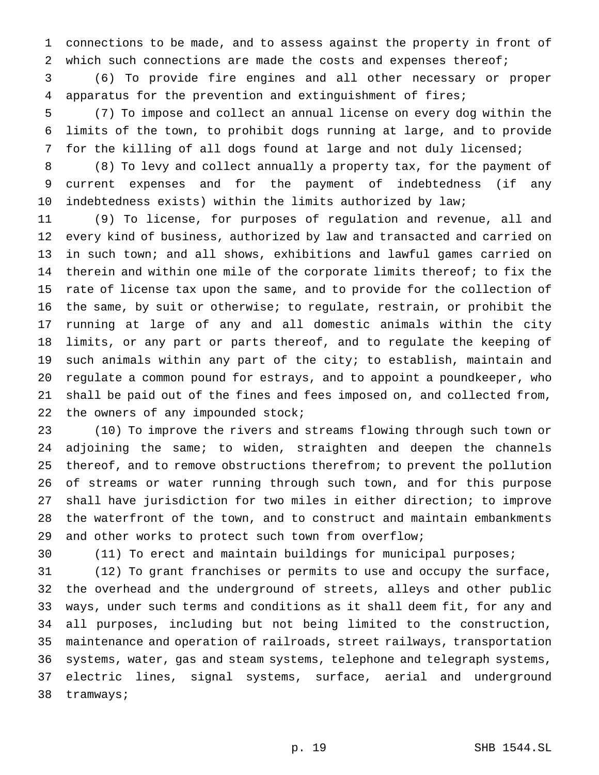connections to be made, and to assess against the property in front of which such connections are made the costs and expenses thereof;

 (6) To provide fire engines and all other necessary or proper apparatus for the prevention and extinguishment of fires;

 (7) To impose and collect an annual license on every dog within the limits of the town, to prohibit dogs running at large, and to provide for the killing of all dogs found at large and not duly licensed;

 (8) To levy and collect annually a property tax, for the payment of current expenses and for the payment of indebtedness (if any indebtedness exists) within the limits authorized by law;

 (9) To license, for purposes of regulation and revenue, all and every kind of business, authorized by law and transacted and carried on in such town; and all shows, exhibitions and lawful games carried on therein and within one mile of the corporate limits thereof; to fix the rate of license tax upon the same, and to provide for the collection of the same, by suit or otherwise; to regulate, restrain, or prohibit the running at large of any and all domestic animals within the city limits, or any part or parts thereof, and to regulate the keeping of such animals within any part of the city; to establish, maintain and regulate a common pound for estrays, and to appoint a poundkeeper, who shall be paid out of the fines and fees imposed on, and collected from, 22 the owners of any impounded stock;

 (10) To improve the rivers and streams flowing through such town or adjoining the same; to widen, straighten and deepen the channels thereof, and to remove obstructions therefrom; to prevent the pollution of streams or water running through such town, and for this purpose shall have jurisdiction for two miles in either direction; to improve the waterfront of the town, and to construct and maintain embankments and other works to protect such town from overflow;

(11) To erect and maintain buildings for municipal purposes;

 (12) To grant franchises or permits to use and occupy the surface, the overhead and the underground of streets, alleys and other public ways, under such terms and conditions as it shall deem fit, for any and all purposes, including but not being limited to the construction, maintenance and operation of railroads, street railways, transportation systems, water, gas and steam systems, telephone and telegraph systems, electric lines, signal systems, surface, aerial and underground tramways;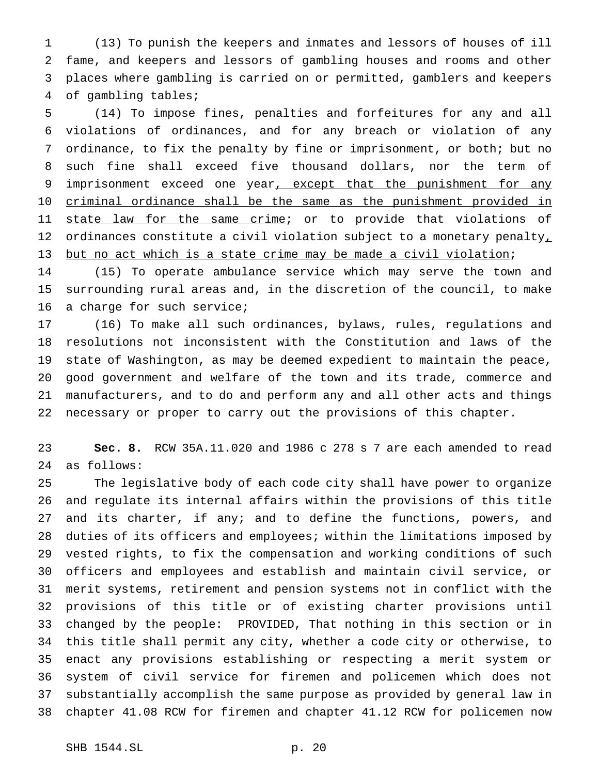(13) To punish the keepers and inmates and lessors of houses of ill fame, and keepers and lessors of gambling houses and rooms and other places where gambling is carried on or permitted, gamblers and keepers of gambling tables;

 (14) To impose fines, penalties and forfeitures for any and all violations of ordinances, and for any breach or violation of any ordinance, to fix the penalty by fine or imprisonment, or both; but no such fine shall exceed five thousand dollars, nor the term of 9 imprisonment exceed one year, except that the punishment for any 10 criminal ordinance shall be the same as the punishment provided in 11 state law for the same crime; or to provide that violations of 12 ordinances constitute a civil violation subject to a monetary penalty, but no act which is a state crime may be made a civil violation;

 (15) To operate ambulance service which may serve the town and surrounding rural areas and, in the discretion of the council, to make a charge for such service;

 (16) To make all such ordinances, bylaws, rules, regulations and resolutions not inconsistent with the Constitution and laws of the state of Washington, as may be deemed expedient to maintain the peace, good government and welfare of the town and its trade, commerce and manufacturers, and to do and perform any and all other acts and things necessary or proper to carry out the provisions of this chapter.

 **Sec. 8.** RCW 35A.11.020 and 1986 c 278 s 7 are each amended to read as follows:

 The legislative body of each code city shall have power to organize and regulate its internal affairs within the provisions of this title 27 and its charter, if any; and to define the functions, powers, and duties of its officers and employees; within the limitations imposed by vested rights, to fix the compensation and working conditions of such officers and employees and establish and maintain civil service, or merit systems, retirement and pension systems not in conflict with the provisions of this title or of existing charter provisions until changed by the people: PROVIDED, That nothing in this section or in this title shall permit any city, whether a code city or otherwise, to enact any provisions establishing or respecting a merit system or system of civil service for firemen and policemen which does not substantially accomplish the same purpose as provided by general law in chapter 41.08 RCW for firemen and chapter 41.12 RCW for policemen now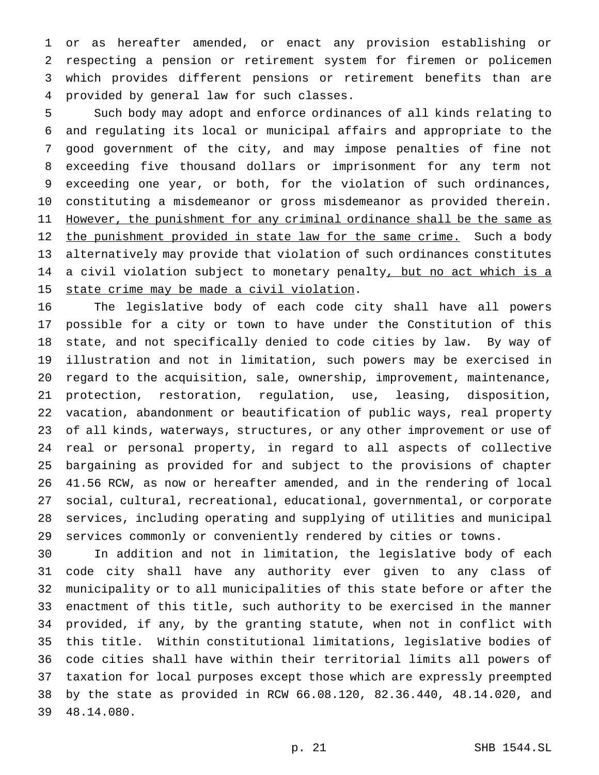or as hereafter amended, or enact any provision establishing or respecting a pension or retirement system for firemen or policemen which provides different pensions or retirement benefits than are provided by general law for such classes.

 Such body may adopt and enforce ordinances of all kinds relating to and regulating its local or municipal affairs and appropriate to the good government of the city, and may impose penalties of fine not exceeding five thousand dollars or imprisonment for any term not exceeding one year, or both, for the violation of such ordinances, constituting a misdemeanor or gross misdemeanor as provided therein. 11 However, the punishment for any criminal ordinance shall be the same as 12 the punishment provided in state law for the same crime. Such a body alternatively may provide that violation of such ordinances constitutes 14 a civil violation subject to monetary penalty, but no act which is a 15 state crime may be made a civil violation.

 The legislative body of each code city shall have all powers possible for a city or town to have under the Constitution of this state, and not specifically denied to code cities by law. By way of illustration and not in limitation, such powers may be exercised in regard to the acquisition, sale, ownership, improvement, maintenance, protection, restoration, regulation, use, leasing, disposition, vacation, abandonment or beautification of public ways, real property of all kinds, waterways, structures, or any other improvement or use of real or personal property, in regard to all aspects of collective bargaining as provided for and subject to the provisions of chapter 41.56 RCW, as now or hereafter amended, and in the rendering of local social, cultural, recreational, educational, governmental, or corporate services, including operating and supplying of utilities and municipal services commonly or conveniently rendered by cities or towns.

 In addition and not in limitation, the legislative body of each code city shall have any authority ever given to any class of municipality or to all municipalities of this state before or after the enactment of this title, such authority to be exercised in the manner provided, if any, by the granting statute, when not in conflict with this title. Within constitutional limitations, legislative bodies of code cities shall have within their territorial limits all powers of taxation for local purposes except those which are expressly preempted by the state as provided in RCW 66.08.120, 82.36.440, 48.14.020, and 48.14.080.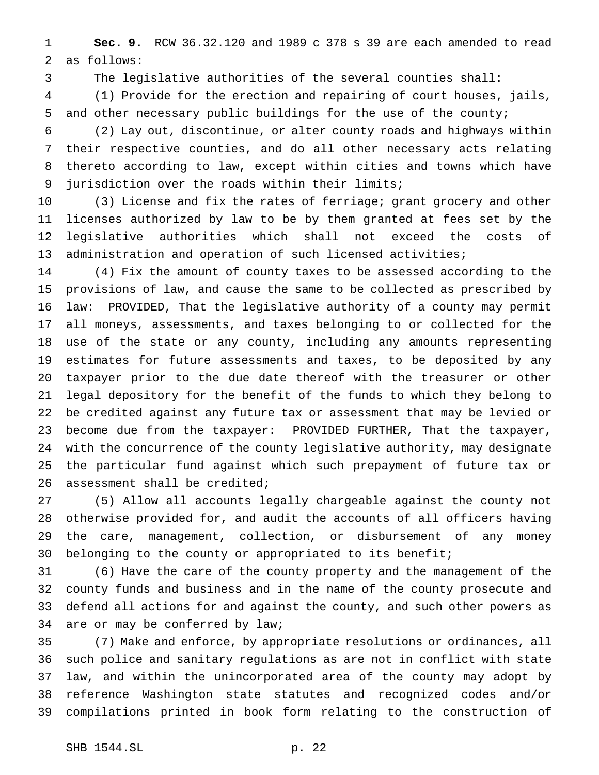**Sec. 9.** RCW 36.32.120 and 1989 c 378 s 39 are each amended to read as follows:

The legislative authorities of the several counties shall:

 (1) Provide for the erection and repairing of court houses, jails, and other necessary public buildings for the use of the county;

 (2) Lay out, discontinue, or alter county roads and highways within their respective counties, and do all other necessary acts relating thereto according to law, except within cities and towns which have jurisdiction over the roads within their limits;

 (3) License and fix the rates of ferriage; grant grocery and other licenses authorized by law to be by them granted at fees set by the legislative authorities which shall not exceed the costs of administration and operation of such licensed activities;

 (4) Fix the amount of county taxes to be assessed according to the provisions of law, and cause the same to be collected as prescribed by law: PROVIDED, That the legislative authority of a county may permit all moneys, assessments, and taxes belonging to or collected for the use of the state or any county, including any amounts representing estimates for future assessments and taxes, to be deposited by any taxpayer prior to the due date thereof with the treasurer or other legal depository for the benefit of the funds to which they belong to be credited against any future tax or assessment that may be levied or become due from the taxpayer: PROVIDED FURTHER, That the taxpayer, with the concurrence of the county legislative authority, may designate the particular fund against which such prepayment of future tax or assessment shall be credited;

 (5) Allow all accounts legally chargeable against the county not otherwise provided for, and audit the accounts of all officers having the care, management, collection, or disbursement of any money belonging to the county or appropriated to its benefit;

 (6) Have the care of the county property and the management of the county funds and business and in the name of the county prosecute and defend all actions for and against the county, and such other powers as are or may be conferred by law;

 (7) Make and enforce, by appropriate resolutions or ordinances, all such police and sanitary regulations as are not in conflict with state law, and within the unincorporated area of the county may adopt by reference Washington state statutes and recognized codes and/or compilations printed in book form relating to the construction of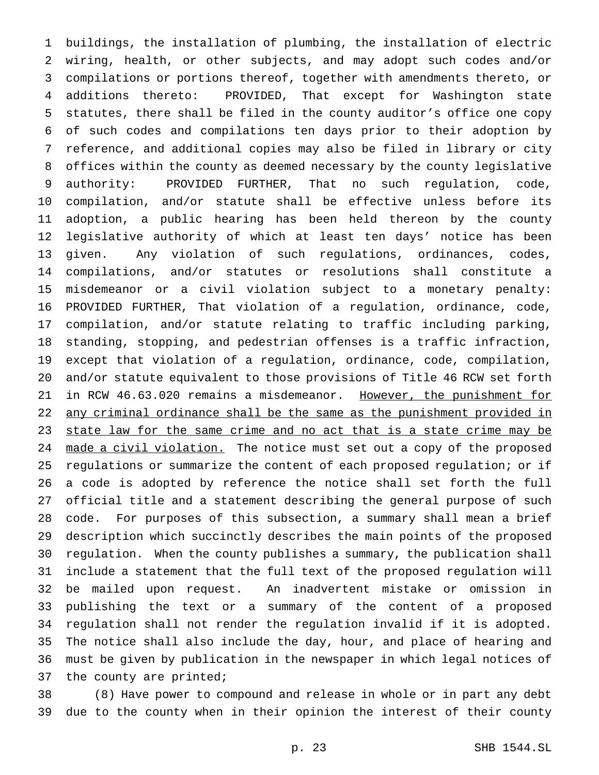buildings, the installation of plumbing, the installation of electric wiring, health, or other subjects, and may adopt such codes and/or compilations or portions thereof, together with amendments thereto, or additions thereto: PROVIDED, That except for Washington state statutes, there shall be filed in the county auditor's office one copy of such codes and compilations ten days prior to their adoption by reference, and additional copies may also be filed in library or city offices within the county as deemed necessary by the county legislative authority: PROVIDED FURTHER, That no such regulation, code, compilation, and/or statute shall be effective unless before its adoption, a public hearing has been held thereon by the county legislative authority of which at least ten days' notice has been given. Any violation of such regulations, ordinances, codes, compilations, and/or statutes or resolutions shall constitute a misdemeanor or a civil violation subject to a monetary penalty: PROVIDED FURTHER, That violation of a regulation, ordinance, code, compilation, and/or statute relating to traffic including parking, standing, stopping, and pedestrian offenses is a traffic infraction, except that violation of a regulation, ordinance, code, compilation, and/or statute equivalent to those provisions of Title 46 RCW set forth 21 in RCW 46.63.020 remains a misdemeanor. However, the punishment for 22 any criminal ordinance shall be the same as the punishment provided in 23 state law for the same crime and no act that is a state crime may be 24 made a civil violation. The notice must set out a copy of the proposed regulations or summarize the content of each proposed regulation; or if a code is adopted by reference the notice shall set forth the full official title and a statement describing the general purpose of such code. For purposes of this subsection, a summary shall mean a brief description which succinctly describes the main points of the proposed regulation. When the county publishes a summary, the publication shall include a statement that the full text of the proposed regulation will be mailed upon request. An inadvertent mistake or omission in publishing the text or a summary of the content of a proposed regulation shall not render the regulation invalid if it is adopted. The notice shall also include the day, hour, and place of hearing and must be given by publication in the newspaper in which legal notices of 37 the county are printed;

 (8) Have power to compound and release in whole or in part any debt due to the county when in their opinion the interest of their county